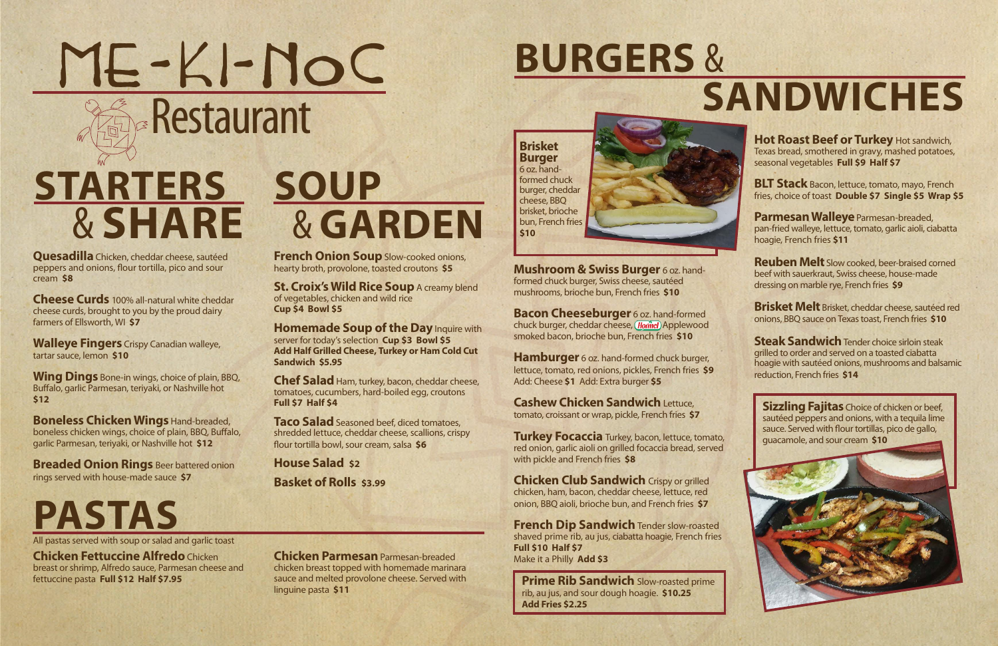**Quesadilla** Chicken, cheddar cheese, sautéed peppers and onions, flour tortilla, pico and sour cream **\$8**

**Cheese Curds** 100% all-natural white cheddar cheese curds, brought to you by the proud dairy farmers of Ellsworth, WI **\$7**

**Walleye Fingers** Crispy Canadian walleye, tartar sauce, lemon **\$10**

**Breaded Onion Rings** Beer battered onion rings served with house-made sauce **\$7**

**French Onion Soup** Slow-cooked onions, hearty broth, provolone, toasted croutons **\$5**

**Wing Dings** Bone-in wings, choice of plain, BBQ, Buffalo, garlic Parmesan, teriyaki, or Nashville hot **\$12**

**St. Croix's Wild Rice Soup** A creamy blend of vegetables, chicken and wild rice **Cup \$4 Bowl \$5**

**Homemade Soup of the Day Inquire with** server for today's selection **Cup \$3 Bowl \$5 Add Half Grilled Cheese, Turkey or Ham Cold Cut Sandwich \$5.95**

**Boneless Chicken Wings** Hand-breaded, boneless chicken wings, choice of plain, BBQ, Buffalo, garlic Parmesan, teriyaki, or Nashville hot **\$12**

**Mushroom & Swiss Burger** 6 oz. handformed chuck burger, Swiss cheese, sautéed mushrooms, brioche bun, French fries **\$10**

**Hamburger** 6 oz. hand-formed chuck burger, lettuce, tomato, red onions, pickles, French fries **\$9** Add: Cheese **\$1** Add: Extra burger **\$5**

**Turkey Focaccia** Turkey, bacon, lettuce, tomato, red onion, garlic aioli on grilled focaccia bread, served with pickle and French fries **\$8**

**Chicken Club Sandwich** Crispy or grilled chicken, ham, bacon, cheddar cheese, lettuce, red onion, BBQ aioli, brioche bun, and French fries **\$7**

**Chef Salad** Ham, turkey, bacon, cheddar cheese, tomatoes, cucumbers, hard-boiled egg, croutons **Full \$7 Half \$4**

> **French Dip Sandwich** Tender slow-roasted shaved prime rib, au jus, ciabatta hoagie, French fries **Full \$10 Half \$7** Make it a Philly **Add \$3**

**Prime Rib Sandwich** Slow-roasted prime rib, au jus, and sour dough hoagie. **\$10.25 Add Fries \$2.25**

**Taco Salad** Seasoned beef, diced tomatoes, shredded lettuce, cheddar cheese, scallions, crispy flour tortilla bowl, sour cream, salsa **\$6**

**Hot Roast Beef or Turkey Hot sandwich,** Texas bread, smothered in gravy, mashed potatoes, seasonal vegetables **Full \$9 Half \$7**

**BLT Stack** Bacon, lettuce, tomato, mayo, French fries, choice of toast **Double \$7 Single \$5 Wrap \$5**

**House Salad \$2 Basket of Rolls \$3.99** **Bacon Cheeseburger** 6 oz. hand-formed chuck burger, cheddar cheese, Hormel Applewood smoked bacon, brioche bun, French fries **\$10**

**Steak Sandwich** Tender choice sirloin steak grilled to order and served on a toasted ciabatta hoagie with sautéed onions, mushrooms and balsamic reduction, French fries **\$14**

**Cashew Chicken Sandwich** Lettuce, tomato, croissant or wrap, pickle, French fries **\$7** 

**Parmesan Walleye** Parmesan-breaded, pan-fried walleye, lettuce, tomato, garlic aioli, ciabatta hoagie, French fries **\$11**

**Reuben Melt** Slow cooked, beer-braised corned beef with sauerkraut, Swiss cheese, house-made dressing on marble rye, French fries **\$9**

**Brisket Melt** Brisket, cheddar cheese, sautéed red onions, BBQ sauce on Texas toast, French fries **\$10**

**Chicken Fettuccine Alfredo** Chicken breast or shrimp, Alfredo sauce, Parmesan cheese and fettuccine pasta **Full \$12 Half \$7.95**

All pastas served with soup or salad and garlic toast

**Chicken Parmesan** Parmesan-breaded chicken breast topped with homemade marinara sauce and melted provolone cheese. Served with linguine pasta **\$11**

# ME-KI-NOC **Restaurant**

## **STARTERS SOUP**  & **SHARE** &**GARDEN**

## **BURGERS** &

## **SANDWICHES**

### **PASTAS**

**Sizzling Fajitas** Choice of chicken or beef, sautéed peppers and onions, with a tequila lime sauce. Served with flour tortillas, pico de gallo, guacamole, and sour cream **\$10**

**Brisket Burger** 6 oz. handformed chuck burger, cheddar cheese, BBQ brisket, brioche bun, French fries **\$10**